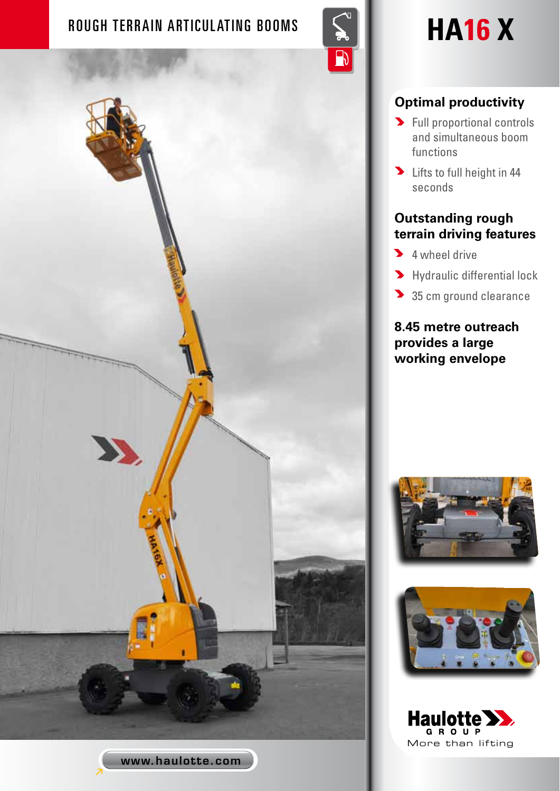## ROUGH TERRAIN ARTICULATING BOOMS **SECURE 15 HA16** X

www.haulotte.com

D



## **Optimal productivity**

- **S** Full proportional controls and simultaneous boom functions
- **D** Lifts to full height in 44 seconds

### **Outstanding rough terrain driving features**

- **4** wheel drive
- **M** Hydraulic differential lock
- 35 cm ground clearance

**8.45 metre outreach provides a large working envelope**